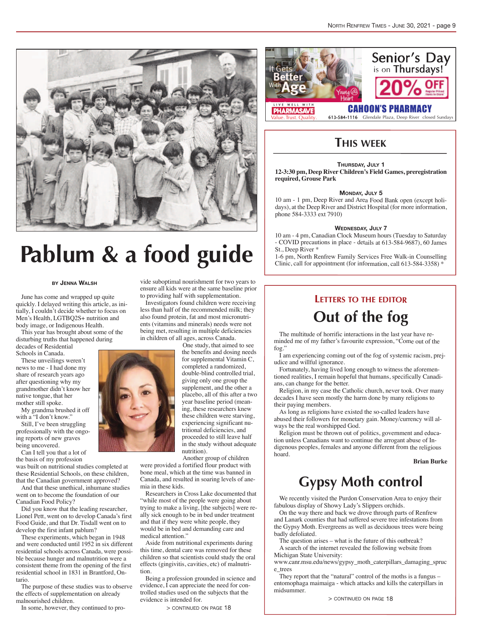

# **Pablum & a food guide**

#### **by Jenna Walsh**

June has come and wrapped up quite quickly. I delayed writing this article, as initially, I couldn't decide whether to focus on Men's Health, LGTBQ2S+ nutrition and body image, or Indigenous Health.

This year has brought about some of the disturbing truths that happened during decades of Residential Schools in Canada.

These unveilings weren't news to me - I had done my share of research years ago after questioning why my grandmother didn't know her native tongue, that her mother still spoke.

My grandma brushed it off with a "I don't know."

Still, I've been struggling professionally with the ongoing reports of new graves being uncovered.

Can I tell you that a lot of the basis of my profession

was built on nutritional studies completed at these Residential Schools, on these children, that the Canadian government approved?

And that these unethical, inhumane studies went on to become the foundation of our Canadian Food Policy?

Did you know that the leading researcher, Lionel Pett, went on to develop Canada's first Food Guide, and that Dr. Tisdall went on to develop the first infant pablum?

These experiments, which began in 1948 and were conducted until 1952 in six different residential schools across Canada, were possible because hunger and malnutrition were a consistent theme from the opening of the first residential school in 1831 in Brantford, Ontario.

The purpose of these studies was to observe the effects of supplementation on already malnourished children.

In some, however, they continued to pro-

vide suboptimal nourishment for two years to ensure all kids were at the same baseline prior to providing half with supplementation.

Investigators found children were receiving less than half of the recommended milk; they also found protein, fat and most micronutrients (vitamins and minerals) needs were not being met, resulting in multiple deficiencies in children of all ages, across Canada.

> One study, that aimed to see the benefits and dosing needs for supplemental Vitamin C, completed a randomized, double-blind controlled trial, giving only one group the supplement, and the other a placebo, all of this after a two year baseline period (meaning, these researchers knew these children were starving, experiencing significant nutritional deficiencies, and proceeded to still leave half in the study without adequate nutrition).

Another group of children were provided a fortified flour product with bone meal, which at the time was banned in Canada, and resulted in soaring levels of anemia in these kids.

Researchers in Cross Lake documented that "while most of the people were going about trying to make a living, [the subjects] were really sick enough to be in bed under treatment and that if they were white people, they would be in bed and demanding care and medical attention."

Aside from nutritional experiments during this time, dental care was removed for these children so that scientists could study the oral effects (gingivitis, cavities, etc) of malnutrition.

Being a profession grounded in science and evidence, I can appreciate the need for controlled studies used on the subjects that the evidence is intended for.

> continued on page 18



**PHARMASAVE** Value. Trust. Quality

### 613-584-1116 Glendale Plaza, Deep River closed Sundays

### **THIS WEEK**

#### **Thursday, July 1**

**12-3:30 pm, Deep River Children's Field Games, preregistration required, Grouse Park**

#### **Monday, July 5**

10 am - 1 pm, Deep River and Area Food Bank open (except holidays), at the Deep River and District Hospital (for more information, phone 584-3333 ext 7910)

#### **Wednesday, July 7**

10 am - 4 pm, Canadian Clock Museum hours (Tuesday to Saturday - COVID precautions in place - details at 613-584-9687), 60 James St., Deep River \*

1-6 pm, North Renfrew Family Services Free Walk-in Counselling Clinic, call for appointment (for information, call 613-584-3358) \*

### **LETTERS TO THE EDITOR**

## **Out of the fog**

The multitude of horrific interactions in the last year have reminded me of my father's favourite expression, "Come out of the fog."

I am experiencing coming out of the fog of systemic racism, prejudice and willful ignorance.

Fortunately, having lived long enough to witness the aforementioned realities, I remain hopeful that humans, specifically Canadians, can change for the better.

Religion, in my case the Catholic church, never took. Over many decades I have seen mostly the harm done by many religions to their paying members.

As long as religions have existed the so-called leaders have abused their followers for monetary gain. Money/currency will always be the real worshipped God.

Religion must be thrown out of politics, government and education unless Canadians want to continue the arrogant abuse of Indigenous peoples, females and anyone different from the religious hoard.

#### **Brian Burke**

## **Gypsy Moth control**

We recently visited the Purdon Conservation Area to enjoy their fabulous display of Showy Lady's Slippers orchids.

On the way there and back we drove through parts of Renfrew and Lanark counties that had suffered severe tree infestations from the Gypsy Moth. Evergreens as well as deciduous trees were being badly defoliated.

The question arises – what is the future of this outbreak?

A search of the internet revealed the following website from Michigan State University:

www.canr.msu.edu/news/gypsy\_moth\_caterpillars\_damaging\_spruc e\_trees

They report that the "natural" control of the moths is a fungus – entomophaga maimaiga - which attacks and kills the caterpillars in midsummer.

> continued on page 18